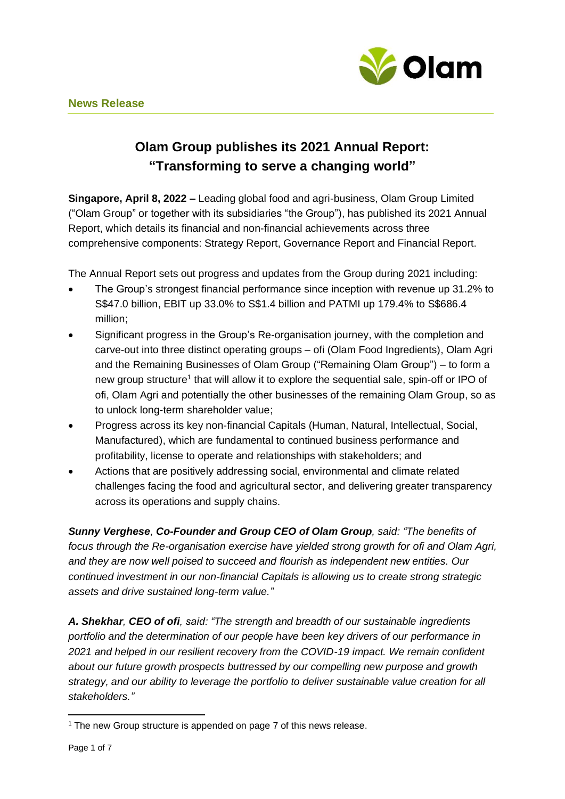

# **Olam Group publishes its 2021 Annual Report: "Transforming to serve a changing world"**

**Singapore, April 8, 2022 –** Leading global food and agri-business, Olam Group Limited ("Olam Group" or together with its subsidiaries "the Group"), has published its 2021 Annual Report, which details its financial and non-financial achievements across three comprehensive components: Strategy Report, Governance Report and Financial Report.

The Annual Report sets out progress and updates from the Group during 2021 including:

- The Group's strongest financial performance since inception with revenue up 31.2% to S\$47.0 billion, EBIT up 33.0% to S\$1.4 billion and PATMI up 179.4% to S\$686.4 million;
- Significant progress in the Group's Re-organisation journey, with the completion and carve-out into three distinct operating groups – ofi (Olam Food Ingredients), Olam Agri and the Remaining Businesses of Olam Group ("Remaining Olam Group") – to form a new group structure<sup>1</sup> that will allow it to explore the sequential sale, spin-off or IPO of ofi, Olam Agri and potentially the other businesses of the remaining Olam Group, so as to unlock long-term shareholder value;
- Progress across its key non-financial Capitals (Human, Natural, Intellectual, Social, Manufactured), which are fundamental to continued business performance and profitability, license to operate and relationships with stakeholders; and
- Actions that are positively addressing social, environmental and climate related challenges facing the food and agricultural sector, and delivering greater transparency across its operations and supply chains.

*Sunny Verghese, Co-Founder and Group CEO of Olam Group, said: "The benefits of focus through the Re-organisation exercise have yielded strong growth for ofi and Olam Agri, and they are now well poised to succeed and flourish as independent new entities. Our continued investment in our non-financial Capitals is allowing us to create strong strategic assets and drive sustained long-term value."*

*A. Shekhar, CEO of ofi, said: "The strength and breadth of our sustainable ingredients portfolio and the determination of our people have been key drivers of our performance in 2021 and helped in our resilient recovery from the COVID-19 impact. We remain confident about our future growth prospects buttressed by our compelling new purpose and growth strategy, and our ability to leverage the portfolio to deliver sustainable value creation for all stakeholders."*

<sup>&</sup>lt;sup>1</sup> The new Group structure is appended on page 7 of this news release.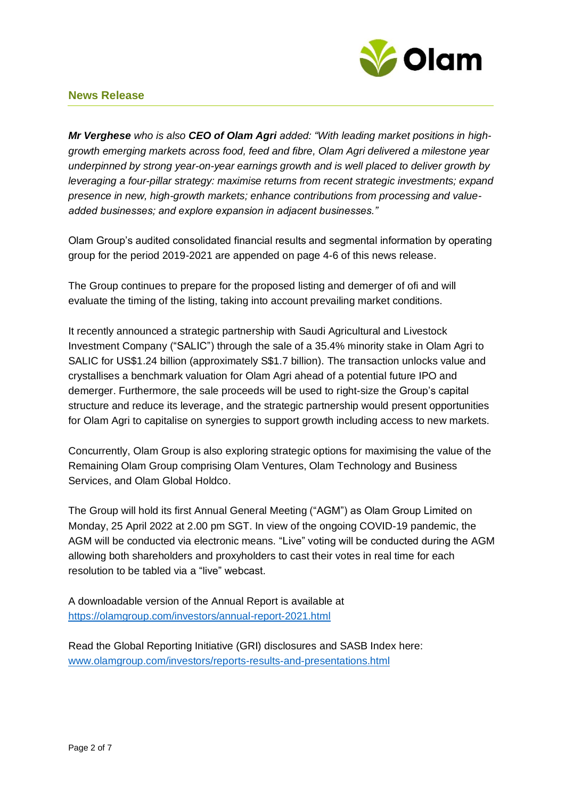

*Mr Verghese who is also CEO of Olam Agri added: "With leading market positions in highgrowth emerging markets across food, feed and fibre, Olam Agri delivered a milestone year underpinned by strong year-on-year earnings growth and is well placed to deliver growth by leveraging a four-pillar strategy: maximise returns from recent strategic investments; expand presence in new, high-growth markets; enhance contributions from processing and valueadded businesses; and explore expansion in adjacent businesses."*

Olam Group's audited consolidated financial results and segmental information by operating group for the period 2019-2021 are appended on page 4-6 of this news release.

The Group continues to prepare for the proposed listing and demerger of ofi and will evaluate the timing of the listing, taking into account prevailing market conditions.

It recently announced a strategic partnership with Saudi Agricultural and Livestock Investment Company ("SALIC") through the sale of a 35.4% minority stake in Olam Agri to SALIC for US\$1.24 billion (approximately S\$1.7 billion). The transaction unlocks value and crystallises a benchmark valuation for Olam Agri ahead of a potential future IPO and demerger. Furthermore, the sale proceeds will be used to right-size the Group's capital structure and reduce its leverage, and the strategic partnership would present opportunities for Olam Agri to capitalise on synergies to support growth including access to new markets.

Concurrently, Olam Group is also exploring strategic options for maximising the value of the Remaining Olam Group comprising Olam Ventures, Olam Technology and Business Services, and Olam Global Holdco.

The Group will hold its first Annual General Meeting ("AGM") as Olam Group Limited on Monday, 25 April 2022 at 2.00 pm SGT. In view of the ongoing COVID-19 pandemic, the AGM will be conducted via electronic means. "Live" voting will be conducted during the AGM allowing both shareholders and proxyholders to cast their votes in real time for each resolution to be tabled via a "live" webcast.

A downloadable version of the Annual Report is available at <https://olamgroup.com/investors/annual-report-2021.html>

Read the Global Reporting Initiative (GRI) disclosures and SASB Index here: [www.olamgroup.com/investors/reports-results-and-presentations.html](http://www.olamgroup.com/investors/reports-results-and-presentations.html)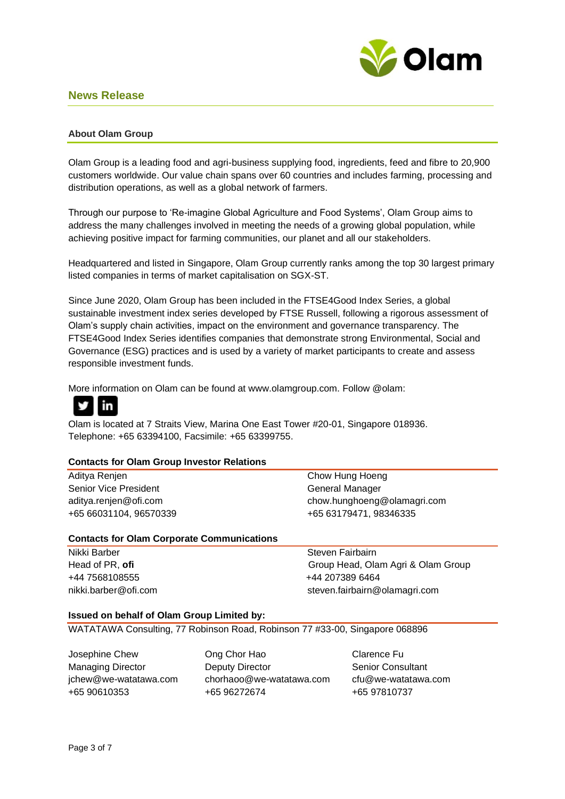

#### **About Olam Group**

Olam Group is a leading food and agri-business supplying food, ingredients, feed and fibre to 20,900 customers worldwide. Our value chain spans over 60 countries and includes farming, processing and distribution operations, as well as a global network of farmers.

Through our purpose to 'Re-imagine Global Agriculture and Food Systems', Olam Group aims to address the many challenges involved in meeting the needs of a growing global population, while achieving positive impact for farming communities, our planet and all our stakeholders.

Headquartered and listed in Singapore, Olam Group currently ranks among the top 30 largest primary listed companies in terms of market capitalisation on SGX-ST.

Since June 2020, Olam Group has been included in the FTSE4Good Index Series, a global sustainable investment index series developed by FTSE Russell, following a rigorous assessment of Olam's supply chain activities, impact on the environment and governance transparency. The FTSE4Good Index Series identifies companies that demonstrate strong Environmental, Social and Governance (ESG) practices and is used by a variety of market participants to create and assess responsible investment funds.

More information on Olam can be found at [www.olamgroup.com.](http://www.olamgroup.com/) Follow @olam:



Olam is located at 7 Straits View, Marina One East Tower #20-01, Singapore 018936. Telephone: +65 63394100, Facsimile: +65 63399755.

#### **Contacts for Olam Group Investor Relations**

| Aditya Renjen                                     | Chow Hung Hoeng             |  |
|---------------------------------------------------|-----------------------------|--|
| Senior Vice President                             | General Manager             |  |
| aditya.renjen@ofi.com                             | chow.hunghoeng@olamagri.com |  |
| +65 66031104, 96570339                            | +65 63179471, 98346335      |  |
| <b>Contacts for Olam Corporate Communications</b> |                             |  |

Nikki Barber Steven Fairbairn +44 7568108555 +44 207389 6464

Head of PR, ofi **Group Head, Olam Agri & Olam Group** nikki.barber@ofi.com steven.fairbairn@olamagri.com

#### **Issued on behalf of Olam Group Limited by:**

WATATAWA Consulting, 77 Robinson Road, Robinson 77 #33-00, Singapore 068896

Josephine Chew Ong Chor Hao Clarence Fu

Managing Director **Deputy Director** Senior Consultant [jchew@we-watatawa.com](mailto:jchew@we-watatawa.com) chorhaoo@we-watatawa.com cfu@we-watatawa.com +65 90610353 +65 96272674 +65 97810737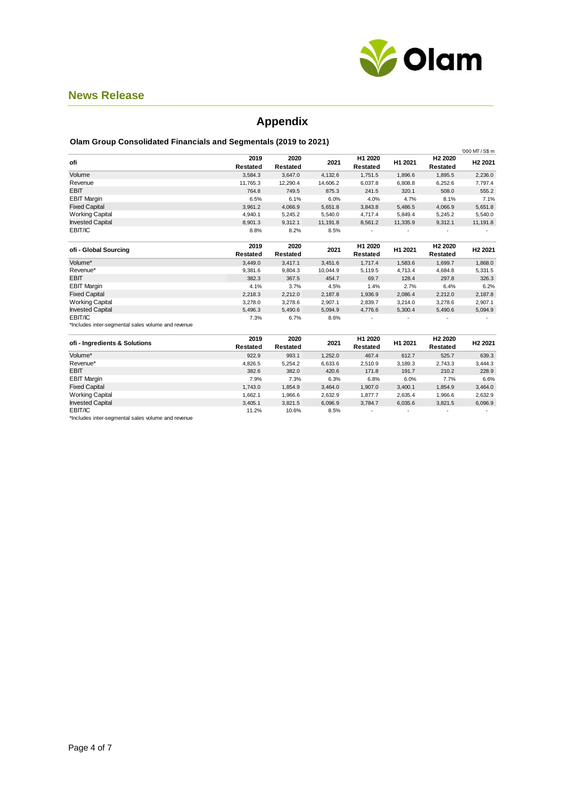

# **Appendix**

#### **Olam Group Consolidated Financials and Segmentals (2019 to 2021)**

|                                                    |                  |                  |          |                     |          |                                 | '000 MT / S\$ m     |
|----------------------------------------------------|------------------|------------------|----------|---------------------|----------|---------------------------------|---------------------|
| ofi                                                | 2019<br>Restated | 2020<br>Restated | 2021     | H1 2020<br>Restated | H1 2021  | H <sub>2</sub> 2020<br>Restated | H <sub>2</sub> 2021 |
| Volume                                             | 3,584.3          | 3,647.0          | 4,132.6  | 1,751.5             | 1,896.6  | 1,895.5                         | 2,236.0             |
| Revenue                                            | 11,765.3         | 12,290.4         | 14,606.2 | 6,037.8             | 6,808.8  | 6,252.6                         | 7,797.4             |
| <b>EBIT</b>                                        | 764.8            | 749.5            | 875.3    | 241.5               | 320.1    | 508.0                           | 555.2               |
| <b>EBIT Margin</b>                                 | 6.5%             | 6.1%             | 6.0%     | 4.0%                | 4.7%     | 8.1%                            | 7.1%                |
| <b>Fixed Capital</b>                               | 3,961.2          | 4,066.9          | 5,651.8  | 3,843.8             | 5,486.5  | 4,066.9                         | 5,651.8             |
| <b>Working Capital</b>                             | 4,940.1          | 5,245.2          | 5,540.0  | 4.717.4             | 5,849.4  | 5,245.2                         | 5,540.0             |
| <b>Invested Capital</b>                            | 8,901.3          | 9,312.1          | 11,191.8 | 8,561.2             | 11,335.9 | 9,312.1                         | 11,191.8            |
| EBIT/IC                                            | 8.8%             | 8.2%             | 8.5%     |                     |          |                                 |                     |
| ofi - Global Sourcing                              | 2019             | 2020             | 2021     | H1 2020             | H1 2021  | H <sub>2</sub> 2020             | H <sub>2</sub> 2021 |
|                                                    | Restated         | Restated         |          | Restated            |          | Restated                        |                     |
| Volume*                                            | 3,449.0          | 3,417.1          | 3,451.6  | 1,717.4             | 1,583.6  | 1,699.7                         | 1,868.0             |
| Revenue*                                           | 9,381.6          | 9,804.3          | 10,044.9 | 5,119.5             | 4,713.4  | 4,684.8                         | 5,331.5             |
| <b>EBIT</b>                                        | 382.3            | 367.5            | 454.7    | 69.7                | 128.4    | 297.8                           | 326.3               |
| <b>EBIT Margin</b>                                 | 4.1%             | 3.7%             | 4.5%     | 1.4%                | 2.7%     | 6.4%                            | 6.2%                |
| <b>Fixed Capital</b>                               | 2,218.3          | 2,212.0          | 2,187.8  | 1,936.9             | 2,086.4  | 2,212.0                         | 2,187.8             |
| <b>Working Capital</b>                             | 3.278.0          | 3,278.6          | 2,907.1  | 2.839.7             | 3,214.0  | 3,278.6                         | 2,907.1             |
| <b>Invested Capital</b>                            | 5,496.3          | 5,490.6          | 5,094.9  | 4,776.6             | 5,300.4  | 5,490.6                         | 5,094.9             |
| EBIT/IC                                            | 7.3%             | 6.7%             | 8.6%     |                     |          |                                 |                     |
| *Includes inter-segmental sales volume and revenue |                  |                  |          |                     |          |                                 |                     |
| ofi - Ingredients & Solutions                      | 2019<br>Restated | 2020<br>Restated | 2021     | H1 2020<br>Restated | H1 2021  | H <sub>2</sub> 2020<br>Restated | H <sub>2</sub> 2021 |
| Volume*                                            | 922.9            | 993.1            | 1,252.0  | 467.4               | 612.7    | 525.7                           | 639.3               |
| Revenue*                                           | 4,826.5          | 5,254.2          | 6,633.6  | 2,510.9             | 3,189.3  | 2,743.3                         | 3,444.3             |
| <b>EBIT</b>                                        | 382.6            | 382.0            | 420.6    | 171.8               | 191.7    | 210.2                           | 228.9               |
| <b>EBIT Margin</b>                                 | 7.9%             | 7.3%             | 6.3%     | 6.8%                | 6.0%     | 7.7%                            | 6.6%                |
| <b>Fixed Capital</b>                               | 1,743.0          | 1,854.9          | 3,464.0  | 1.907.0             | 3,400.1  | 1,854.9                         | 3,464.0             |

Working Capital 1,662.1 1,966.6 2,632.9 1,877.7 2,635.4 1,966.6 2,632.9 Invested Capital 3,405.1 3,821.5 6,096.9 3,784.7 6,035.6 3,821.5 6,096.9

EBIT/IC 11.2% 10.6% 8.5% - - - - \*Includes inter-segmental sales volume and revenue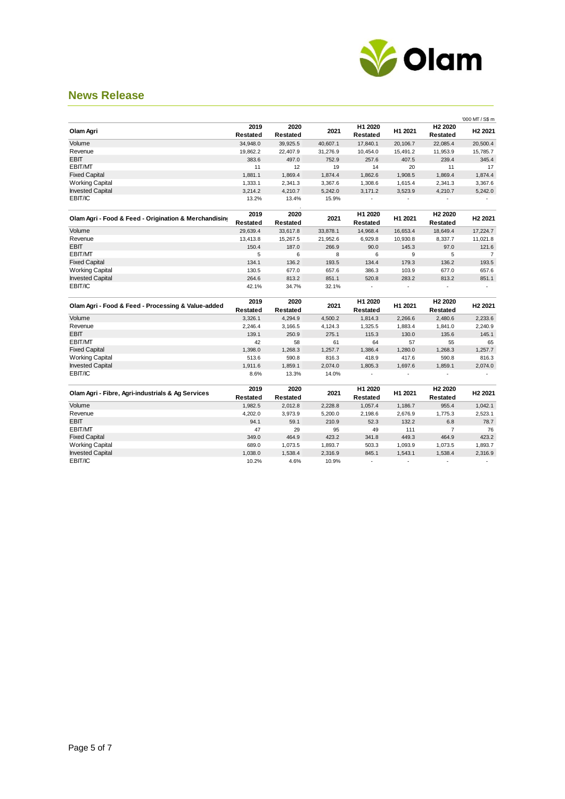

|                                                       |                  |                  |          |                     |                |                                 | '000 MT / S\$ m          |
|-------------------------------------------------------|------------------|------------------|----------|---------------------|----------------|---------------------------------|--------------------------|
| Olam Agri                                             | 2019<br>Restated | 2020<br>Restated | 2021     | H1 2020<br>Restated | H1 2021        | H <sub>2</sub> 2020<br>Restated | H <sub>2</sub> 2021      |
| Volume                                                | 34,948.0         | 39,925.5         | 40,607.1 | 17,840.1            | 20,106.7       | 22,085.4                        | 20,500.4                 |
| Revenue                                               | 19,862.2         | 22,407.9         | 31,276.9 | 10,454.0            | 15,491.2       | 11,953.9                        | 15,785.7                 |
| <b>EBIT</b>                                           | 383.6            | 497.0            | 752.9    | 257.6               | 407.5          | 239.4                           | 345.4                    |
| EBIT/MT                                               | 11               | 12               | 19       | 14                  | 20             | 11                              | 17                       |
| <b>Fixed Capital</b>                                  | 1,881.1          | 1,869.4          | 1,874.4  | 1,862.6             | 1,908.5        | 1,869.4                         | 1,874.4                  |
| <b>Working Capital</b>                                | 1,333.1          | 2,341.3          | 3,367.6  | 1,308.6             | 1,615.4        | 2,341.3                         | 3,367.6                  |
| <b>Invested Capital</b>                               | 3,214.2          | 4,210.7          | 5,242.0  | 3,171.2             | 3,523.9        | 4,210.7                         | 5,242.0                  |
| EBIT/IC                                               | 13.2%            | 13.4%            | 15.9%    | ÷.                  |                |                                 |                          |
| Olam Agri - Food & Feed - Origination & Merchandising | 2019<br>Restated | 2020<br>Restated | 2021     | H1 2020<br>Restated | H1 2021        | H <sub>2</sub> 2020<br>Restated | H <sub>2</sub> 2021      |
| Volume                                                | 29,639.4         | 33,617.8         | 33,878.1 | 14,968.4            | 16,653.4       | 18,649.4                        | 17,224.7                 |
| Revenue                                               | 13,413.8         | 15,267.5         | 21,952.6 | 6,929.8             | 10,930.8       | 8,337.7                         | 11,021.8                 |
| <b>EBIT</b>                                           | 150.4            | 187.0            | 266.9    | 90.0                | 145.3          | 97.0                            | 121.6                    |
| EBIT/MT                                               | 5                | 6                | 8        | 6                   | 9              | 5                               | $\overline{7}$           |
| <b>Fixed Capital</b>                                  | 134.1            | 136.2            | 193.5    | 134.4               | 179.3          | 136.2                           | 193.5                    |
| <b>Working Capital</b>                                | 130.5            | 677.0            | 657.6    | 386.3               | 103.9          | 677.0                           | 657.6                    |
| <b>Invested Capital</b>                               | 264.6            | 813.2            | 851.1    | 520.8               | 283.2          | 813.2                           | 851.1                    |
| EBIT/IC                                               | 42.1%            | 34.7%            | 32.1%    | $\blacksquare$      | $\blacksquare$ | $\blacksquare$                  | ä,                       |
| Olam Agri - Food & Feed - Processing & Value-added    | 2019<br>Restated | 2020<br>Restated | 2021     | H1 2020<br>Restated | H1 2021        | H <sub>2</sub> 2020<br>Restated | H <sub>2</sub> 2021      |
| Volume                                                | 3,326.1          | 4,294.9          | 4,500.2  | 1,814.3             | 2,266.6        | 2,480.6                         | 2,233.6                  |
| Revenue                                               | 2,246.4          | 3,166.5          | 4,124.3  | 1,325.5             | 1,883.4        | 1,841.0                         | 2,240.9                  |
| <b>EBIT</b>                                           | 139.1            | 250.9            | 275.1    | 115.3               | 130.0          | 135.6                           | 145.1                    |
| EBIT/MT                                               | 42               | 58               | 61       | 64                  | 57             | 55                              | 65                       |
| <b>Fixed Capital</b>                                  | 1,398.0          | 1,268.3          | 1,257.7  | 1,386.4             | 1,280.0        | 1,268.3                         | 1,257.7                  |
| Working Capital                                       | 513.6            | 590.8            | 816.3    | 418.9               | 417.6          | 590.8                           | 816.3                    |
| <b>Invested Capital</b>                               | 1,911.6          | 1,859.1          | 2,074.0  | 1,805.3             | 1,697.6        | 1,859.1                         | 2,074.0                  |
| EBIT/IC                                               | 8.6%             | 13.3%            | 14.0%    | $\blacksquare$      | ÷,             | $\blacksquare$                  |                          |
| Olam Agri - Fibre, Agri-industrials & Ag Services     | 2019<br>Restated | 2020<br>Restated | 2021     | H1 2020<br>Restated | H1 2021        | H <sub>2</sub> 2020<br>Restated | H <sub>2</sub> 2021      |
| Volume                                                | 1,982.5          | 2,012.8          | 2,228.8  | 1,057.4             | 1,186.7        | 955.4                           | 1,042.1                  |
| Revenue                                               | 4,202.0          | 3,973.9          | 5,200.0  | 2,198.6             | 2,676.9        | 1,775.3                         | 2,523.1                  |
| EBIT                                                  | 94.1             | 59.1             | 210.9    | 52.3                | 132.2          | 6.8                             | 78.7                     |
| EBIT/MT                                               | 47               | 29               | 95       | 49                  | 111            | $\overline{7}$                  | 76                       |
| <b>Fixed Capital</b>                                  | 349.0            | 464.9            | 423.2    | 341.8               | 449.3          | 464.9                           | 423.2                    |
| <b>Working Capital</b>                                | 689.0            | 1,073.5          | 1,893.7  | 503.3               | 1,093.9        | 1,073.5                         | 1,893.7                  |
| <b>Invested Capital</b>                               | 1,038.0          | 1,538.4          | 2,316.9  | 845.1               | 1,543.1        | 1,538.4                         | 2,316.9                  |
| EBIT/IC                                               | 10.2%            | 4.6%             | 10.9%    | ÷.                  | $\blacksquare$ | $\overline{\phantom{a}}$        | $\overline{\phantom{a}}$ |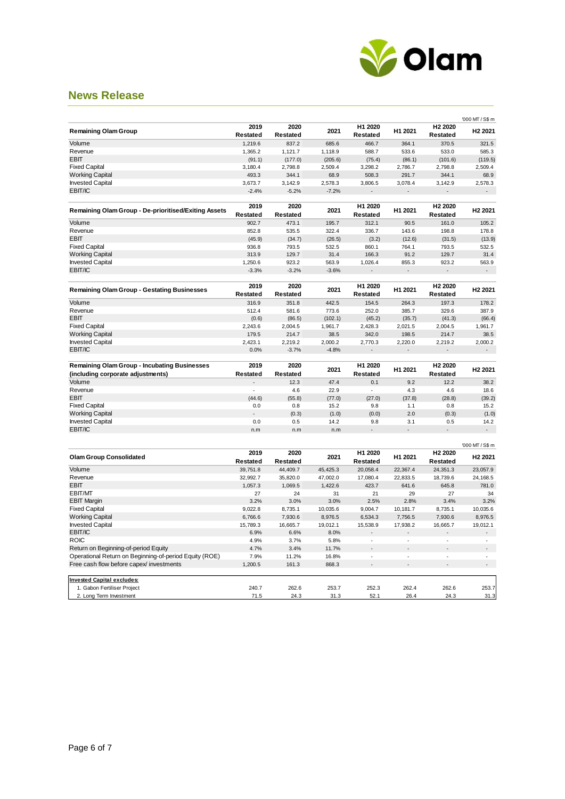

|                                                                                                    |                  |                         |                |                     |               |                                 | '000 MT / S\$ m          |
|----------------------------------------------------------------------------------------------------|------------------|-------------------------|----------------|---------------------|---------------|---------------------------------|--------------------------|
| <b>Remaining Olam Group</b>                                                                        | 2019<br>Restated | 2020<br><b>Restated</b> | 2021           | H1 2020<br>Restated | H1 2021       | H <sub>2</sub> 2020<br>Restated | H <sub>2</sub> 2021      |
| Volume                                                                                             | 1,219.6          | 837.2                   | 685.6          | 466.7               | 364.1         | 370.5                           | 321.5                    |
| Revenue                                                                                            | 1,365.2          | 1,121.7                 | 1,118.9        | 588.7               | 533.6         | 533.0                           | 585.3                    |
| <b>EBIT</b>                                                                                        | (91.1)           | (177.0)                 | (205.6)        | (75.4)              | (86.1)        | (101.6)                         | (119.5)                  |
| <b>Fixed Capital</b>                                                                               | 3,180.4          | 2,798.8                 | 2,509.4        | 3,298.2             | 2,786.7       | 2,798.8                         | 2,509.4                  |
| <b>Working Capital</b>                                                                             | 493.3            | 344.1                   | 68.9           | 508.3               | 291.7         | 344.1                           | 68.9                     |
| <b>Invested Capital</b>                                                                            | 3,673.7          | 3,142.9                 | 2,578.3        | 3,806.5             | 3,078.4       | 3,142.9                         | 2,578.3                  |
| EBIT/IC                                                                                            | $-2.4%$          | $-5.2%$                 | $-7.2%$        |                     |               |                                 |                          |
| <b>Remaining Olam Group - De-prioritised/Exiting Assets</b>                                        | 2019<br>Restated | 2020<br><b>Restated</b> | 2021           | H1 2020<br>Restated | H1 2021       | H <sub>2</sub> 2020<br>Restated | H <sub>2</sub> 2021      |
| Volume                                                                                             | 902.7            | 473.1                   | 195.7          | 312.1               | 90.5          | 161.0                           | 105.2                    |
| Revenue                                                                                            | 852.8            | 535.5                   | 322.4          | 336.7               | 143.6         | 198.8                           | 178.8                    |
| <b>EBIT</b>                                                                                        | (45.9)           | (34.7)                  | (26.5)         | (3.2)               | (12.6)        | (31.5)                          | (13.9)                   |
| <b>Fixed Capital</b>                                                                               | 936.8            | 793.5                   | 532.5          | 860.1               | 764.1         | 793.5                           | 532.5                    |
| <b>Working Capital</b>                                                                             | 313.9            | 129.7                   | 31.4           | 166.3               | 91.2          | 129.7                           | 31.4                     |
| <b>Invested Capital</b>                                                                            | 1,250.6          | 923.2                   | 563.9          | 1,026.4             | 855.3         | 923.2                           | 563.9                    |
| EBIT/IC                                                                                            | $-3.3%$          | $-3.2%$                 | $-3.6%$        |                     |               |                                 |                          |
| <b>Remaining Olam Group - Gestating Businesses</b>                                                 | 2019             | 2020                    | 2021           | H1 2020             | H1 2021       | H <sub>2</sub> 2020             | H <sub>2</sub> 2021      |
|                                                                                                    | Restated         | Restated                |                | Restated            |               | Restated                        |                          |
| Volume                                                                                             | 316.9            | 351.8                   | 442.5          | 154.5               | 264.3         | 197.3                           | 178.2                    |
| Revenue                                                                                            | 512.4            | 581.6                   | 773.6          | 252.0               | 385.7         | 329.6                           | 387.9                    |
| <b>EBIT</b>                                                                                        | (0.6)            | (86.5)                  | (102.1)        | (45.2)              | (35.7)        | (41.3)                          | (66.4)                   |
| <b>Fixed Capital</b>                                                                               | 2,243.6          | 2,004.5                 | 1,961.7        | 2,428.3             | 2,021.5       | 2,004.5                         | 1,961.7                  |
| <b>Working Capital</b>                                                                             | 179.5            | 214.7                   | 38.5           | 342.0               | 198.5         | 214.7                           | 38.5                     |
| <b>Invested Capital</b>                                                                            | 2,423.1          | 2,219.2                 | 2,000.2        | 2,770.3             | 2,220.0       | 2,219.2                         | 2,000.2                  |
| EBIT/IC                                                                                            | 0.0%             | $-3.7%$                 | $-4.8%$        |                     |               |                                 |                          |
| <b>Remaining Olam Group - Incubating Businesses</b>                                                | 2019             | 2020                    |                | H1 2020             |               | H <sub>2</sub> 2020             |                          |
| (including corporate adjustments)                                                                  | Restated         | <b>Restated</b>         | 2021           | Restated            | H1 2021       | Restated                        | H <sub>2</sub> 2021      |
| Volume                                                                                             |                  | 12.3                    | 47.4           | 0.1                 | 9.2           | 12.2                            | 38.2                     |
| Revenue                                                                                            |                  | 4.6                     | 22.9           | ÷,                  | 4.3           | 4.6                             | 18.6                     |
| <b>EBIT</b>                                                                                        | (44.6)           | (55.8)                  | (77.0)         | (27.0)              | (37.8)        | (28.8)                          | (39.2)                   |
| <b>Fixed Capital</b>                                                                               | 0.0              | 0.8                     | 15.2           | 9.8                 | 1.1           | 0.8                             | 15.2                     |
|                                                                                                    |                  |                         | (1.0)          | (0.0)               | 2.0           | (0.3)                           | (1.0)                    |
| <b>Working Capital</b>                                                                             |                  | (0.3)                   |                |                     |               |                                 |                          |
| <b>Invested Capital</b>                                                                            | 0.0              | 0.5                     | 14.2           | 9.8                 | 3.1           | 0.5                             | 14.2                     |
| EBIT/IC                                                                                            | n.m              | n.m                     | n.m            |                     |               |                                 | $\overline{\phantom{a}}$ |
|                                                                                                    |                  |                         |                |                     |               |                                 | '000 MT / S\$ m          |
| <b>Olam Group Consolidated</b>                                                                     | 2019<br>Restated | 2020<br>Restated        | 2021           | H1 2020<br>Restated | H1 2021       | H <sub>2</sub> 2020<br>Restated | H <sub>2</sub> 2021      |
| Volume                                                                                             | 39,751.8         | 44,409.7                | 45,425.3       | 20,058.4            | 22,367.4      | 24,351.3                        | 23,057.9                 |
| Revenue                                                                                            | 32,992.7         | 35,820.0                | 47,002.0       | 17,080.4            | 22,833.5      | 18,739.6                        | 24,168.5                 |
| <b>EBIT</b>                                                                                        | 1,057.3          | 1,069.5                 | 1,422.6        | 423.7               | 641.6         | 645.8                           | 781.0                    |
| EBIT/MT                                                                                            | 27               | 24                      | 31             | 21                  | 29            | 27                              | 34                       |
| <b>EBIT Margin</b>                                                                                 | 3.2%             | 3.0%                    | 3.0%           | 2.5%                | 2.8%          | 3.4%                            | 3.2%                     |
| <b>Fixed Capital</b>                                                                               | 9,022.8          | 8,735.1                 | 10,035.6       | 9,004.7             | 10,181.7      | 8,735.1                         | 10,035.6                 |
|                                                                                                    |                  |                         |                |                     |               |                                 |                          |
| <b>Working Capital</b>                                                                             | 6,766.6          | 7,930.6                 | 8,976.5        | 6,534.3             | 7,756.5       | 7,930.6                         | 8,976.5                  |
| <b>Invested Capital</b>                                                                            | 15,789.3         | 16,665.7                | 19,012.1       | 15,538.9            | 17,938.2      | 16,665.7                        | 19,012.1                 |
| EBIT/IC<br><b>ROIC</b>                                                                             | 6.9%             | 6.6%                    | 8.0%           | ä,                  | ä,            | ä,                              |                          |
|                                                                                                    | 4.9%             | 3.7%                    | 5.8%           |                     |               |                                 |                          |
| Return on Beginning-of-period Equity                                                               | 4.7%             | 3.4%                    | 11.7%          | $\sim$              | ÷.            | ÷                               | ÷.                       |
| Operational Return on Beginning-of-period Equity (ROE)<br>Free cash flow before capex/ investments | 7.9%<br>1,200.5  | 11.2%<br>161.3          | 16.8%<br>868.3 |                     |               |                                 |                          |
|                                                                                                    |                  |                         |                |                     |               |                                 |                          |
| <b>Invested Capital excludes:</b>                                                                  |                  |                         |                |                     |               |                                 |                          |
| 1. Gabon Fertiliser Project<br>2. Long Term Investment                                             | 240.7<br>71.5    | 262.6<br>24.3           | 253.7<br>31.3  | 252.3<br>52.1       | 262.4<br>26.4 | 262.6<br>24.3                   | 253.7<br>31.3            |